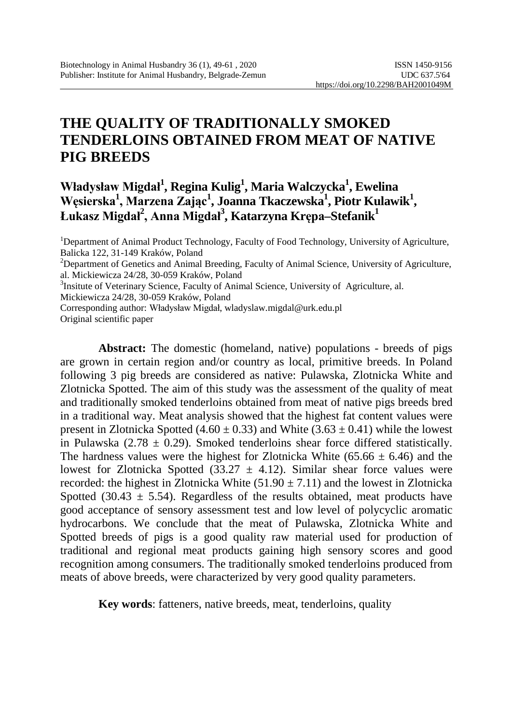# **THE QUALITY OF TRADITIONALLY SMOKED TENDERLOINS OBTAINED FROM MEAT OF NATIVE PIG BREEDS**

### **Władysław Migdał<sup>1</sup> , Regina Kulig1 , Maria Walczycka1 , Ewelina Węsierska<sup>1</sup> , Marzena Zając<sup>1</sup> , Joanna Tkaczewska1 , Piotr Kulawik1 , Łukasz Migdał<sup>2</sup> , Anna Migdał<sup>3</sup> , Katarzyna Krępa–Stefanik1**

<sup>1</sup>Department of Animal Product Technology, Faculty of Food Technology, University of Agriculture, Balicka 122, 31-149 Kraków, Poland 2  $2$ Department of Genetics and Animal Breeding, Faculty of Animal Science, University of Agriculture, al. Mickiewicza 24/28, 30-059 Kraków, Poland <sup>3</sup> <sup>3</sup>Insitute of Veterinary Science, Faculty of Animal Science, University of Agriculture, al. Mickiewicza 24/28, 30-059 Kraków, Poland Corresponding author: Władysław Migdał, [wladyslaw.migdal@urk.edu.pl](mailto:wladyslaw.migdal@urk.edu.pl) Original scientific paper

**Abstract:** The domestic (homeland, native) populations - breeds of pigs are grown in certain region and/or country as local, primitive breeds. In Poland following 3 pig breeds are considered as native: Pulawska, Zlotnicka White and Zlotnicka Spotted. The aim of this study was the assessment of the quality of meat and traditionally smoked tenderloins obtained from meat of native pigs breeds bred in a traditional way. Meat analysis showed that the highest fat content values were present in Zlotnicka Spotted (4.60  $\pm$  0.33) and White (3.63  $\pm$  0.41) while the lowest in Pulawska (2.78  $\pm$  0.29). Smoked tenderloins shear force differed statistically. The hardness values were the highest for Zlotnicka White (65.66  $\pm$  6.46) and the lowest for Zlotnicka Spotted (33.27  $\pm$  4.12). Similar shear force values were recorded: the highest in Zlotnicka White  $(51.90 \pm 7.11)$  and the lowest in Zlotnicka Spotted  $(30.43 \pm 5.54)$ . Regardless of the results obtained, meat products have good acceptance of sensory assessment test and low level of polycyclic aromatic hydrocarbons. We conclude that the meat of Pulawska, Zlotnicka White and Spotted breeds of pigs is a good quality raw material used for production of traditional and regional meat products gaining high sensory scores and good recognition among consumers. The traditionally smoked tenderloins produced from meats of above breeds, were characterized by very good quality parameters.

**Key words**: fatteners, native breeds, meat, tenderloins, quality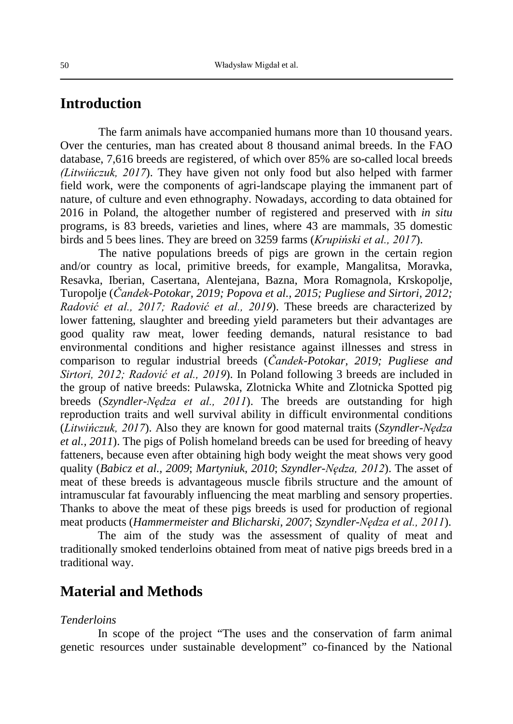### **Introduction**

The farm animals have accompanied humans more than 10 thousand years. Over the centuries, man has created about 8 thousand animal breeds. In the FAO database, 7,616 breeds are registered, of which over 85% are so-called local breeds *(Litwińczuk, 2017*). They have given not only food but also helped with farmer field work, were the components of agri-landscape playing the immanent part of nature, of culture and even ethnography. Nowadays, according to data obtained for 2016 in Poland, the altogether number of registered and preserved with *in situ* programs, is 83 breeds, varieties and lines, where 43 are mammals, 35 domestic birds and 5 bees lines. They are breed on 3259 farms (*Krupiński et al., 2017*).

The native populations breeds of pigs are grown in the certain region and/or country as local, primitive breeds, for example, Mangalitsa, Moravka, Resavka, [Iberian,](https://en.wikipedia.org/wiki/Black_Iberian_pig) Casertana, Alentejana, Bazna, [Mora Romagnola,](https://en.wikipedia.org/wiki/Mora_Romagnola) [Krskopolje,](https://en.wikipedia.org/w/index.php?title=Krskopolje&action=edit&redlink=1) [Turopolje](https://en.wikipedia.org/wiki/Turopolje_pig) (*Čandek-Potokar, 2019; Popova et al., 2015; Pugliese and Sirtori, 2012; Radović et al., 2017; Radović et al., 2019*). These breeds are characterized by lower fattening, slaughter and breeding yield parameters but their advantages are good quality raw meat, lower feeding demands, natural resistance to bad environmental conditions and higher resistance against illnesses and stress in comparison to regular industrial breeds (*Čandek-Potokar, 2019; Pugliese and Sirtori, 2012; Radović et al., 2019*). In Poland following 3 breeds are included in the group of native breeds: Pulawska, Zlotnicka White and Zlotnicka Spotted pig breeds (*Szyndler-Nędza et al., 2011*). The breeds are outstanding for high reproduction traits and well survival ability in difficult environmental conditions (*Litwińczuk, 2017*). Also they are known for good maternal traits (*Szyndler-Nędza et al., 2011*). The pigs of Polish homeland breeds can be used for breeding of heavy fatteners, because even after obtaining high body weight the meat shows very good quality (*Babicz et al., 2009*; *Martyniuk, 2010*; *Szyndler-Nędza, 2012*). The asset of meat of these breeds is advantageous muscle fibrils structure and the amount of intramuscular fat favourably influencing the meat marbling and sensory properties. Thanks to above the meat of these pigs breeds is used for production of regional meat products (*Hammermeister and Blicharski, 2007*; *Szyndler-Nędza et al., 2011*).

The aim of the study was the assessment of quality of meat and traditionally smoked tenderloins obtained from meat of native pigs breeds bred in a traditional way.

### **Material and Methods**

#### *Tenderloins*

In scope of the project "The uses and the conservation of farm animal genetic resources under sustainable development" co-financed by the National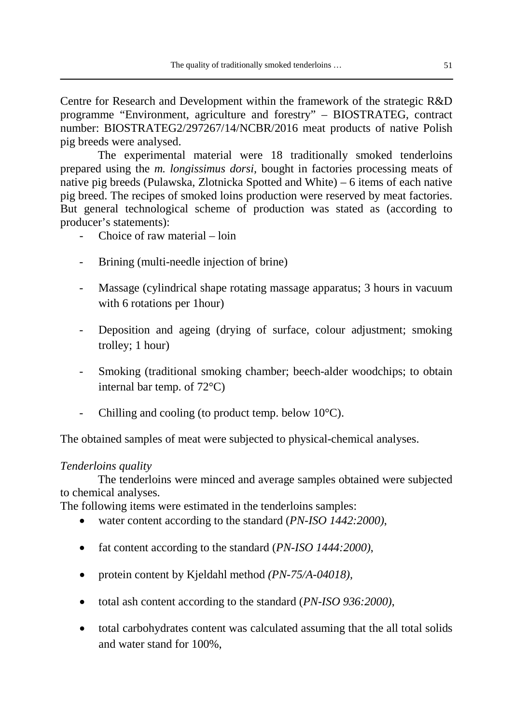Centre for Research and Development within the framework of the strategic R&D programme "Environment, agriculture and forestry" – BIOSTRATEG, contract number: BIOSTRATEG2/297267/14/NCBR/2016 meat products of native Polish pig breeds were analysed.

The experimental material were 18 traditionally smoked tenderloins prepared using the *m. longissimus dorsi,* bought in factories processing meats of native pig breeds (Pulawska, Zlotnicka Spotted and White) – 6 items of each native pig breed. The recipes of smoked loins production were reserved by meat factories. But general technological scheme of production was stated as (according to producer's statements):

- Choice of raw material loin
- Brining (multi-needle injection of brine)
- Massage (cylindrical shape rotating massage apparatus; 3 hours in vacuum with 6 rotations per 1hour)
- Deposition and ageing (drying of surface, colour adjustment; smoking trolley; 1 hour)
- Smoking (traditional smoking chamber; beech-alder woodchips; to obtain internal bar temp. of 72°C)
- Chilling and cooling (to product temp. below  $10^{\circ}$ C).

The obtained samples of meat were subjected to physical-chemical analyses.

#### *Tenderloins quality*

The tenderloins were minced and average samples obtained were subjected to chemical analyses.

The following items were estimated in the tenderloins samples:

- water content according to the standard (*PN-ISO 1442:2000)*,
- fat content according to the standard (*PN-ISO 1444:2000)*,
- protein content by Kjeldahl method *(PN-75/A-04018),*
- total ash content according to the standard (*PN-ISO 936:2000)*,
- total carbohydrates content was calculated assuming that the all total solids and water stand for 100%,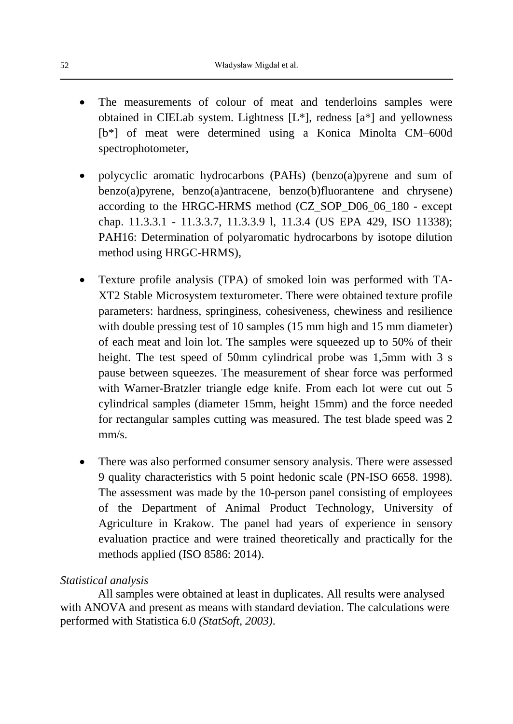- The measurements of colour of meat and tenderloins samples were obtained in CIELab system. Lightness [L\*], redness [a\*] and yellowness [b\*] of meat were determined using a Konica Minolta CM–600d spectrophotometer,
- polycyclic aromatic hydrocarbons (PAHs) (benzo(a)pyrene and sum of benzo(a)pyrene, benzo(a)antracene, benzo(b)fluorantene and chrysene) according to the HRGC-HRMS method (CZ\_SOP\_D06\_06\_180 - except chap. 11.3.3.1 - 11.3.3.7, 11.3.3.9 l, 11.3.4 (US EPA 429, ISO 11338); PAH16: Determination of polyaromatic hydrocarbons by isotope dilution method using HRGC-HRMS),
- Texture profile analysis (TPA) of smoked loin was performed with TA-XT2 Stable Microsystem texturometer. There were obtained texture profile parameters: hardness, springiness, cohesiveness, chewiness and resilience with double pressing test of 10 samples (15 mm high and 15 mm diameter) of each meat and loin lot. The samples were squeezed up to 50% of their height. The test speed of 50mm cylindrical probe was 1,5mm with 3 s pause between squeezes. The measurement of shear force was performed with Warner-Bratzler triangle edge knife. From each lot were cut out 5 cylindrical samples (diameter 15mm, height 15mm) and the force needed for rectangular samples cutting was measured. The test blade speed was 2 mm/s.
- There was also performed consumer sensory analysis. There were assessed 9 quality characteristics with 5 point hedonic scale (PN-ISO 6658. 1998). The assessment was made by the 10-person panel consisting of employees of the Department of Animal Product Technology, University of Agriculture in Krakow. The panel had years of experience in sensory evaluation practice and were trained theoretically and practically for the methods applied (ISO 8586: 2014).

#### *Statistical analysis*

All samples were obtained at least in duplicates. All results were analysed with ANOVA and present as means with standard deviation. The calculations were performed with Statistica 6.0 *(StatSoft, 2003)*.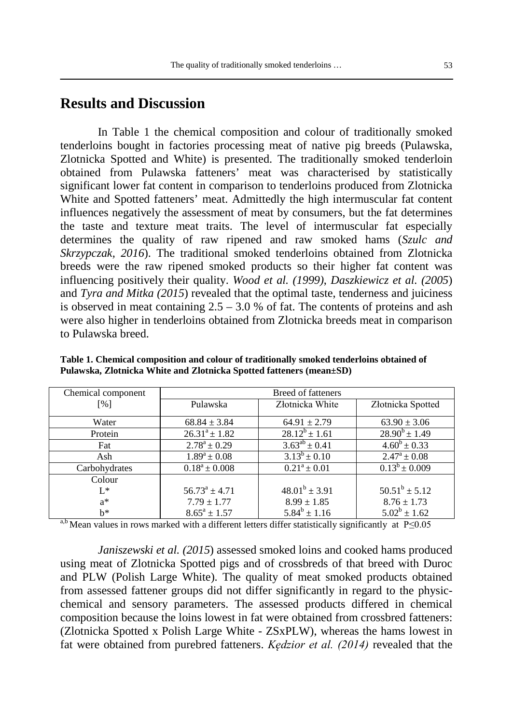#### **Results and Discussion**

In Table 1 the chemical composition and colour of traditionally smoked tenderloins bought in factories processing meat of native pig breeds (Pulawska, Zlotnicka Spotted and White) is presented. The traditionally smoked tenderloin obtained from Pulawska fatteners' meat was characterised by statistically significant lower fat content in comparison to tenderloins produced from Zlotnicka White and Spotted fatteners' meat. Admittedly the high intermuscular fat content influences negatively the assessment of meat by consumers, but the fat determines the taste and texture meat traits. The level of intermuscular fat especially determines the quality of raw ripened and raw smoked hams (*Szulc and Skrzypczak, 2016*). The traditional smoked tenderloins obtained from Zlotnicka breeds were the raw ripened smoked products so their higher fat content was influencing positively their quality. *Wood et al. (1999)*, *Daszkiewicz et al. (2005*) and *Tyra and Mitka (2015*) revealed that the optimal taste, tenderness and juiciness is observed in meat containing  $2.5 - 3.0$  % of fat. The contents of proteins and ash were also higher in tenderloins obtained from Zlotnicka breeds meat in comparison to Pulawska breed.

| Chemical component | Breed of fatteners |                    |                               |  |
|--------------------|--------------------|--------------------|-------------------------------|--|
| $\lceil \% \rceil$ | Pulawska           | Złotnicka White    | Złotnicka Spotted             |  |
| Water              | $68.84 \pm 3.84$   | $64.91 \pm 2.79$   | $63.90 \pm 3.06$              |  |
| Protein            | $26.31^a + 1.82$   | $28.12^b + 1.61$   | $28.90^b \pm 1.49$            |  |
| Fat                | $2.78^a \pm 0.29$  | $3.63^{ab} + 0.41$ | $4.60^b \pm 0.33$             |  |
| Ash                | $1.89^a \pm 0.08$  | $3.13^b \pm 0.10$  | $2.47^{\rm a} \pm 0.08$       |  |
| Carbohydrates      | $0.18^a \pm 0.008$ | $0.21^a \pm 0.01$  | $\overline{0.13^b} \pm 0.009$ |  |
| Colour             |                    |                    |                               |  |
| $L^*$              | $56.73^a \pm 4.71$ | $48.01^b \pm 3.91$ | $50.51^b \pm 5.12$            |  |
| $a^*$              | $7.79 \pm 1.77$    | $8.99 \pm 1.85$    | $8.76 \pm 1.73$               |  |
| $h^*$              | $8.65^a \pm 1.57$  | $5.84^b \pm 1.16$  | $5.02^b \pm 1.62$             |  |

**Table 1. Chemical composition and colour of traditionally smoked tenderloins obtained of Pulawska, Zlotnicka White and Zlotnicka Spotted fatteners (mean±SD)**

<sup>a,b</sup> Mean values in rows marked with a different letters differ statistically significantly at P≤0.05

*Janiszewski et al. (2015*) assessed smoked loins and cooked hams produced using meat of Zlotnicka Spotted pigs and of crossbreds of that breed with Duroc and PLW (Polish Large White). The quality of meat smoked products obtained from assessed fattener groups did not differ significantly in regard to the physicchemical and sensory parameters. The assessed products differed in chemical composition because the loins lowest in fat were obtained from crossbred fatteners: (Zlotnicka Spotted x Polish Large White - ZSxPLW), whereas the hams lowest in fat were obtained from purebred fatteners. *Kędzior et al. (2014)* revealed that the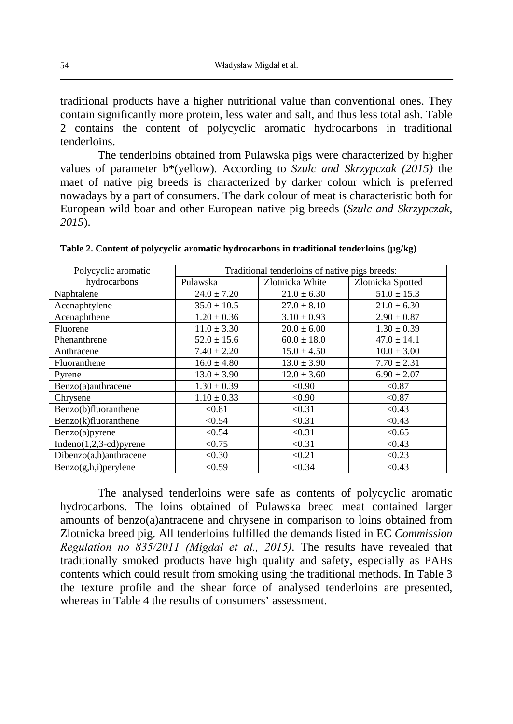traditional products have a higher nutritional value than conventional ones. They contain significantly more protein, less water and salt, and thus less total ash. Table 2 contains the content of polycyclic aromatic hydrocarbons in traditional tenderloins.

The tenderloins obtained from Pulawska pigs were characterized by higher values of parameter b\*(yellow). According to *Szulc and Skrzypczak (2015)* the maet of native pig breeds is characterized by darker colour which is preferred nowadays by a part of consumers. The dark colour of meat is characteristic both for European wild boar and other European native pig breeds (*Szulc and Skrzypczak, 2015*).

| Polycyclic aromatic      | Traditional tenderloins of native pigs breeds: |                 |                   |  |
|--------------------------|------------------------------------------------|-----------------|-------------------|--|
| hydrocarbons             | Pulawska                                       | Zlotnicka White | Zlotnicka Spotted |  |
| Naphtalene               | $24.0 \pm 7.20$                                | $21.0 \pm 6.30$ | $51.0 \pm 15.3$   |  |
| Acenaphtylene            | $35.0 \pm 10.5$                                | $27.0 \pm 8.10$ | $21.0 \pm 6.30$   |  |
| Acenaphthene             | $1.20 \pm 0.36$                                | $3.10 \pm 0.93$ | $2.90 \pm 0.87$   |  |
| Fluorene                 | $11.0 \pm 3.30$                                | $20.0 \pm 6.00$ | $1.30 \pm 0.39$   |  |
| Phenanthrene             | $52.0 \pm 15.6$                                | $60.0 \pm 18.0$ | $47.0 \pm 14.1$   |  |
| Anthracene               | $7.40 \pm 2.20$                                | $15.0 \pm 4.50$ | $10.0 \pm 3.00$   |  |
| Fluoranthene             | $16.0 \pm 4.80$                                | $13.0 \pm 3.90$ | $7.70 \pm 2.31$   |  |
| Pyrene                   | $13.0 \pm 3.90$                                | $12.0 \pm 3.60$ | $6.90 \pm 2.07$   |  |
| Benzo(a)anthracene       | $1.30 \pm 0.39$                                | < 0.90          | < 0.87            |  |
| Chrysene                 | $1.10 \pm 0.33$                                | < 0.90          | < 0.87            |  |
| Benzo(b)fluoranthene     | < 0.81                                         | < 0.31          | < 0.43            |  |
| Benzo(k)fluoranthene     | < 0.54                                         | < 0.31          | < 0.43            |  |
| Benzo(a)pyrene           | < 0.54                                         | < 0.31          | < 0.65            |  |
| $Indeno(1,2,3-cd)pyrene$ | < 0.75                                         | < 0.31          | < 0.43            |  |
| Dibenzo(a,h)anthracene   | < 0.30                                         | < 0.21          | < 0.23            |  |
| $Benzo(g,h,i)$ per ylene | < 0.59                                         | < 0.34          | < 0.43            |  |

Table 2. Content of polycyclic aromatic hydrocarbons in traditional tenderloins ( $\mu$ g/kg)

The analysed tenderloins were safe as contents of polycyclic aromatic hydrocarbons. The loins obtained of Pulawska breed meat contained larger amounts of benzo(a)antracene and chrysene in comparison to loins obtained from Zlotnicka breed pig. All tenderloins fulfilled the demands listed in EC *Commission Regulation no 835/2011 (Migdał et al., 2015)*. The results have revealed that traditionally smoked products have high quality and safety, especially as PAHs contents which could result from smoking using the traditional methods. In Table 3 the texture profile and the shear force of analysed tenderloins are presented, whereas in Table 4 the results of consumers' assessment.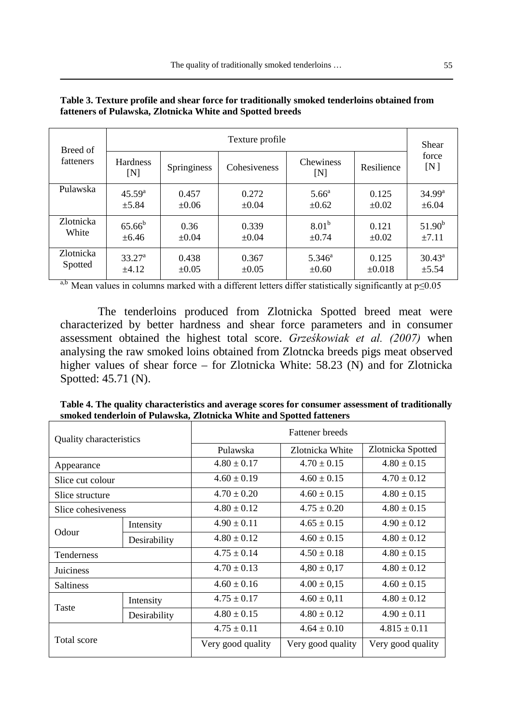| Breed of  | Texture profile        |             |              |                         | Shear      |                 |
|-----------|------------------------|-------------|--------------|-------------------------|------------|-----------------|
| fatteners | <b>Hardness</b><br>[N] | Springiness | Cohesiveness | <b>Chewiness</b><br>[N] | Resilience | force<br>[N]    |
| Pulawska  | $45.59^{a}$            | 0.457       | 0.272        | $5.66^{\circ}$          | 0.125      | $34.99^{\rm a}$ |
|           | $\pm$ 5.84             | $\pm 0.06$  | $\pm 0.04$   | ±0.62                   | $\pm 0.02$ | $\pm 6.04$      |
| Zlotnicka | $65.66^{b}$            | 0.36        | 0.339        | 8.01 <sup>b</sup>       | 0.121      | $51.90^{b}$     |
| White     | $\pm 6.46$             | $\pm 0.04$  | $\pm 0.04$   | $\pm 0.74$              | $+0.02$    | $\pm 7.11$      |
| Zlotnicka | $33.27^{\rm a}$        | 0.438       | 0.367        | $5.346^{\circ}$         | 0.125      | $30.43^{\circ}$ |
| Spotted   | $+4.12$                | $\pm 0.05$  | $\pm 0.05$   | $\pm 0.60$              | $+0.018$   | $\pm$ 5.54      |

| Table 3. Texture profile and shear force for traditionally smoked tenderloins obtained from |
|---------------------------------------------------------------------------------------------|
| fatteners of Pulawska, Zlotnicka White and Spotted breeds                                   |

a,b Mean values in columns marked with a different letters differ statistically significantly at  $p \le 0.05$ 

The tenderloins produced from Zlotnicka Spotted breed meat were characterized by better hardness and shear force parameters and in consumer assessment obtained the highest total score. *Grześkowiak et al. (2007)* when analysing the raw smoked loins obtained from Zlotncka breeds pigs meat observed higher values of shear force – for Zlotnicka White: 58.23 (N) and for Zlotnicka Spotted: 45.71 (N).

| Quality characteristics |                                  | <b>Fattener</b> breeds      |                   |                   |  |
|-------------------------|----------------------------------|-----------------------------|-------------------|-------------------|--|
|                         |                                  | Pulawska<br>Zlotnicka White |                   | Zlotnicka Spotted |  |
| Appearance              |                                  | $4.80 + 0.17$               | $4.70 + 0.15$     | $4.80 + 0.15$     |  |
| Slice cut colour        |                                  | $4.60 \pm 0.19$             | $4.60 + 0.15$     | $4.70 + 0.12$     |  |
| Slice structure         |                                  | $4.70 + 0.20$               | $4.60 + 0.15$     | $4.80 + 0.15$     |  |
| Slice cohesiveness      | $4.80 + 0.12$<br>$4.75 \pm 0.20$ |                             | $4.80 \pm 0.15$   |                   |  |
| Odour                   | Intensity                        | $4.90 \pm 0.11$             | $4.65 + 0.15$     | $4.90 + 0.12$     |  |
|                         | Desirability                     | $4.80 + 0.12$               | $4.60 + 0.15$     | $4.80 + 0.12$     |  |
| Tenderness              |                                  | $4.75 \pm 0.14$             | $4.50 + 0.18$     | $4.80 + 0.15$     |  |
| Juiciness               |                                  | $4.70 + 0.13$               | $4,80 \pm 0,17$   | $4.80 + 0.12$     |  |
| <b>Saltiness</b>        |                                  | $4.60 + 0.16$               | $4.00 \pm 0.15$   | $4.60 + 0.15$     |  |
| Taste                   | Intensity                        | $4.75 + 0.17$               | $4.60 \pm 0.11$   | $4.80 + 0.12$     |  |
|                         | Desirability                     | $4.80 \pm 0.15$             | $4.80 \pm 0.12$   | $4.90 \pm 0.11$   |  |
| Total score             |                                  | $4.75 + 0.11$               | $4.64 + 0.10$     | $4.815 + 0.11$    |  |
|                         |                                  | Very good quality           | Very good quality | Very good quality |  |

**Table 4. The quality characteristics and average scores for consumer assessment of traditionally smoked tenderloin of Pulawska, Zlotnicka White and Spotted fatteners**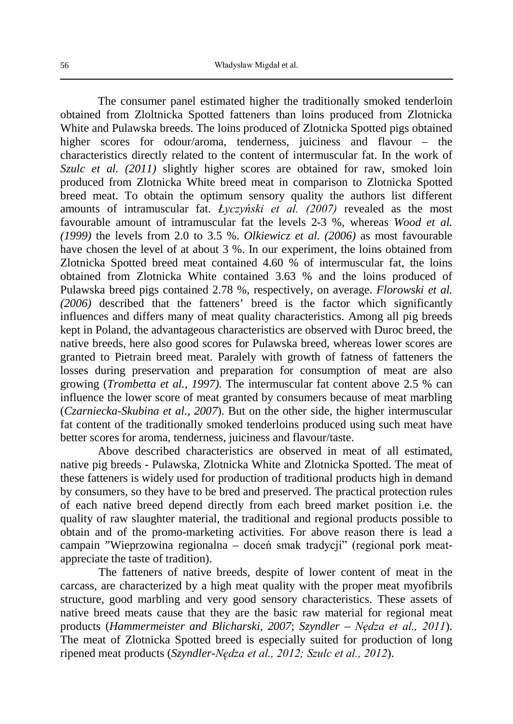The consumer panel estimated higher the traditionally smoked tenderloin obtained from Zloltnicka Spotted fatteners than loins produced from Zlotnicka White and Pulawska breeds. The loins produced of Zlotnicka Spotted pigs obtained higher scores for odour/aroma, tenderness, juiciness and flavour – the characteristics directly related to the content of intermuscular fat. In the work of *Szulc et al. (2011)* slightly higher scores are obtained for raw, smoked loin produced from Zlotnicka White breed meat in comparison to Zlotnicka Spotted breed meat. To obtain the optimum sensory quality the authors list different amounts of intramuscular fat. *Łyczyński et al. (2007)* revealed as the most favourable amount of intramuscular fat the levels 2-3 %, whereas *Wood et al. (1999)* the levels from 2.0 to 3.5 %. *Olkiewicz et al. (2006)* as most favourable have chosen the level of at about 3 %. In our experiment, the loins obtained from Zlotnicka Spotted breed meat contained 4.60  $\frac{6}{90}$  of intermuscular fat, the loins obtained from Zlotnicka White contained 3.63 % and the loins produced of Pulawska breed pigs contained 2.78 %, respectively, on average. *Florowski et al. (2006)* described that the fatteners' breed is the factor which significantly influences and differs many of meat quality characteristics. Among all pig breeds kept in Poland, the advantageous characteristics are observed with Duroc breed, the native breeds, here also good scores for Pulawska breed, whereas lower scores are granted to Pietrain breed meat. Paralely with growth of fatness of fatteners the losses during preservation and preparation for consumption of meat are also growing (*Trombetta et al., 1997)*. The intermuscular fat content above 2.5 % can influence the lower score of meat granted by consumers because of meat marbling (*Czarniecka-Skubina et al., 2007*). But on the other side, the higher intermuscular fat content of the traditionally smoked tenderloins produced using such meat have better scores for aroma, tenderness, juiciness and flavour/taste.

Above described characteristics are observed in meat of all estimated, native pig breeds - Pulawska, Zlotnicka White and Zlotnicka Spotted. The meat of these fatteners is widely used for production of traditional products high in demand by consumers, so they have to be bred and preserved. The practical protection rules of each native breed depend directly from each breed market position i.e. the quality of raw slaughter material, the traditional and regional products possible to obtain and of the promo-marketing activities. For above reason there is lead a campain "Wieprzowina regionalna – doceń smak tradycji" (regional pork meatappreciate the taste of tradition).

The fatteners of native breeds, despite of lower content of meat in the carcass, are characterized by a high meat quality with the proper meat myofibrils structure, good marbling and very good sensory characteristics. These assets of native breed meats cause that they are the basic raw material for regional meat products (*Hammermeister and Blicharski, 2007*; *Szyndler – Nędza et al., 2011*). The meat of Zlotnicka Spotted breed is especially suited for production of long ripened meat products (*Szyndler-Nędza et al., 2012; Szulc et al., 2012*).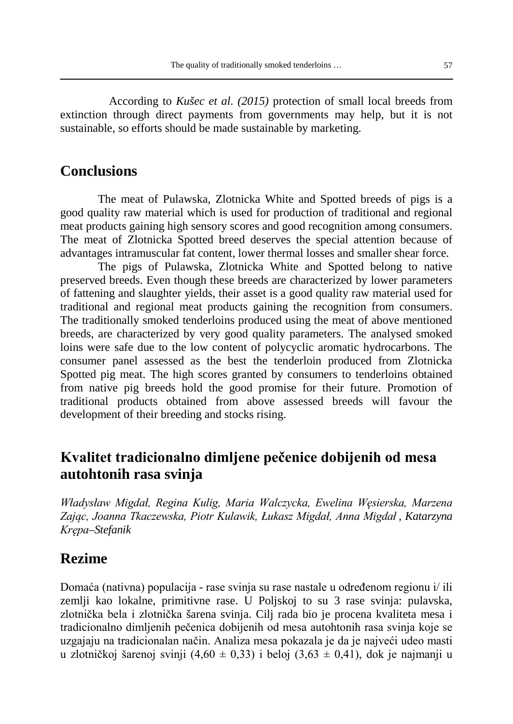According to *Kušec et al. (2015)* protection of small local breeds from extinction through direct payments from governments may help, but it is not sustainable, so efforts should be made sustainable by marketing.

### **Conclusions**

The meat of Pulawska, Zlotnicka White and Spotted breeds of pigs is a good quality raw material which is used for production of traditional and regional meat products gaining high sensory scores and good recognition among consumers. The meat of Zlotnicka Spotted breed deserves the special attention because of advantages intramuscular fat content, lower thermal losses and smaller shear force.

The pigs of Pulawska, Zlotnicka White and Spotted belong to native preserved breeds. Even though these breeds are characterized by lower parameters of fattening and slaughter yields, their asset is a good quality raw material used for traditional and regional meat products gaining the recognition from consumers. The traditionally smoked tenderloins produced using the meat of above mentioned breeds, are characterized by very good quality parameters. The analysed smoked loins were safe due to the low content of polycyclic aromatic hydrocarbons. The consumer panel assessed as the best the tenderloin produced from Zlotnicka Spotted pig meat. The high scores granted by consumers to tenderloins obtained from native pig breeds hold the good promise for their future. Promotion of traditional products obtained from above assessed breeds will favour the development of their breeding and stocks rising.

## **Kvalitet tradicionalno dimljene pečenice dobijenih od mesa autohtonih rasa svinja**

*Władysław Migdał, Regina Kulig, Maria Walczycka, Ewelina Węsierska, Marzena Zając, Joanna Tkaczewska, Piotr Kulawik, Łukasz Migdał, Anna Migdał , Katarzyna Krępa–Stefanik*

### **Rezime**

Domaća (nativna) populacija - rase svinja su rase nastale u određenom regionu i/ ili zemlji kao lokalne, primitivne rase. U Poljskoj to su 3 rase svinja: pulavska, zlotnička bela i zlotnička šarena svinja. Cilj rada bio je procena kvaliteta mesa i tradicionalno dimljenih pečenica dobijenih od mesa autohtonih rasa svinja koje se uzgajaju na tradicionalan način. Analiza mesa pokazala je da je najveći udeo masti u zlotničkoj šarenoj svinji  $(4,60 \pm 0,33)$  i beloj  $(3,63 \pm 0,41)$ , dok je najmanji u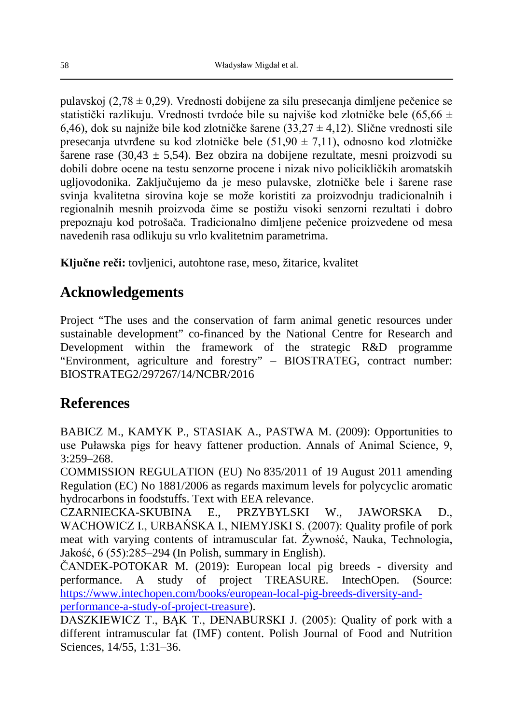pulavskoj (2,78 ± 0,29). Vrednosti dobijene za silu presecanja dimljene pečenice se statistički razlikuju. Vrednosti tvrdoće bile su najviše kod zlotničke bele (65.66 ± 6,46), dok su najniže bile kod zlotničke šarene  $(33,27 \pm 4,12)$ . Slične vrednosti sile presecanja utvrđene su kod zlotničke bele (51,90 ± 7,11), odnosno kod zlotničke šarene rase (30,43 ± 5,54). Bez obzira na dobijene rezultate, mesni proizvodi su dobili dobre ocene na testu senzorne procene i nizak nivo policikličkih aromatskih ugljovodonika. Zaključujemo da je meso pulavske, zlotničke bele i šarene rase svinja kvalitetna sirovina koje se može koristiti za proizvodnju tradicionalnih i regionalnih mesnih proizvoda čime se postižu visoki senzorni rezultati i dobro prepoznaju kod potrošača. Tradicionalno dimljene pečenice proizvedene od mesa navedenih rasa odlikuju su vrlo kvalitetnim parametrima.

**Ključne reči:** tovljenici, autohtone rase, meso, žitarice, kvalitet

# **Acknowledgements**

Project "The uses and the conservation of farm animal genetic resources under sustainable development" co-financed by the National Centre for Research and Development within the framework of the strategic R&D programme "Environment, agriculture and forestry" – BIOSTRATEG, contract number: BIOSTRATEG2/297267/14/NCBR/2016

# **References**

BABICZ M., KAMYK P., STASIAK A., PASTWA M. (2009): Opportunities to use Puławska pigs for heavy fattener production. Annals of Animal Science, 9, 3:259–268.

COMMISSION REGULATION (EU) No 835/2011 of 19 August 2011 amending Regulation (EC) No 1881/2006 as regards maximum levels for polycyclic aromatic hydrocarbons in foodstuffs. Text with EEA relevance.

CZARNIECKA-SKUBINA E., PRZYBYLSKI W., JAWORSKA D., WACHOWICZ I., URBAŃSKA I., NIEMYJSKI S. (2007): Quality profile of pork meat with varying contents of intramuscular fat. Żywność, Nauka, Technologia, Jakość, 6 (55):285–294 (In Polish, summary in English).

ČANDEK-POTOKAR M. (2019): European local pig breeds - diversity and performance. A study of project TREASURE. IntechOpen. (Source: [https://www.intechopen.com/books/european-local-pig-breeds-diversity-and](https://www.intechopen.com/books/european-local-pig-breeds-diversity-and-performance-a-study-of-project-treasure)[performance-a-study-of-project-treasure\)](https://www.intechopen.com/books/european-local-pig-breeds-diversity-and-performance-a-study-of-project-treasure).

DASZKIEWICZ T., BAK T., DENABURSKI J. (2005): Quality of pork with a different intramuscular fat (IMF) content. Polish Journal of Food and Nutrition Sciences, 14/55, 1:31–36.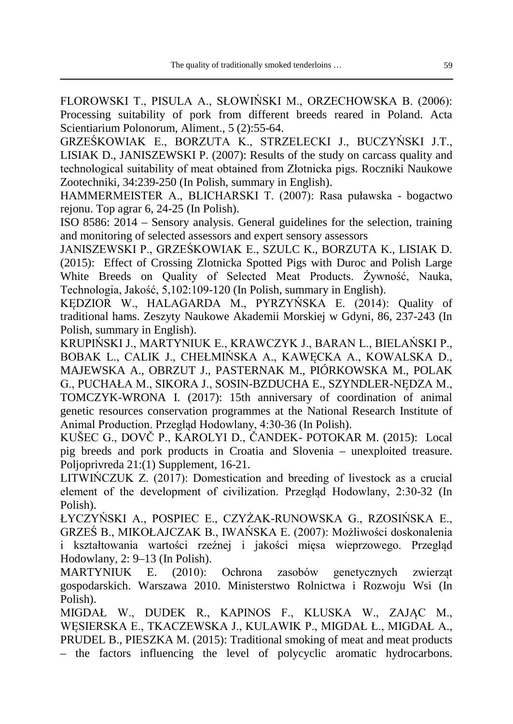FLOROWSKI T., PISULA A., SŁOWIŃSKI M., ORZECHOWSKA B. (2006): Processing suitability of pork from different breeds reared in Poland. Acta Scientiarium Polonorum, Aliment., 5 (2):55-64.

GRZEŚKOWIAK E., BORZUTA K., STRZELECKI J., BUCZYŃSKI J.T., LISIAK D., JANISZEWSKI P. (2007): Results of the study on carcass quality and technological suitability of meat obtained from Złotnicka pigs. Roczniki Naukowe Zootechniki, 34:239-250 (In Polish, summary in English).

HAMMERMEISTER A., BLICHARSKI T. (2007): Rasa puławska - bogactwo rejonu. Top agrar 6, 24-25 (In Polish).

ISO 8586: 2014 – Sensory analysis. General guidelines for the selection, training and monitoring of selected assessors and expert sensory assessors

JANISZEWSKI P., GRZEŚKOWIAK E., SZULC K., BORZUTA K., LISIAK D. (2015): Effect of Crossing Zlotnicka Spotted Pigs with Duroc and Polish Large White Breeds on Quality of Selected Meat Products. Żywność, Nauka, Technologia, Jakość, 5,102:109-120 (In Polish, summary in English).

KĘDZIOR W., HALAGARDA M., PYRZYŃSKA E. (2014): Quality of traditional hams. Zeszyty Naukowe Akademii Morskiej w Gdyni, 86, 237-243 (In Polish, summary in English).

KRUPIŃSKI J., MARTYNIUK E., KRAWCZYK J., BARAN L., BIELAŃSKI P., BOBAK L., CALIK J., CHEŁMIŃSKA A., KAWĘCKA A., KOWALSKA D., MAJEWSKA A., OBRZUT J., PASTERNAK M., PIÓRKOWSKA M., POLAK G., PUCHAŁA M., SIKORA J., SOSIN-BZDUCHA E., SZYNDLER-NĘDZA M., TOMCZYK-WRONA I. (2017): 15th anniversary of coordination of animal genetic resources conservation programmes at the National Research Institute of Animal Production. Przegląd Hodowlany, 4:30-36 (In Polish).

KUŠEC G., DOVČ P., KAROLYI D., ČANDEK- POTOKAR M. (2015): Local pig breeds and pork products in Croatia and Slovenia – unexploited treasure. Polioprivreda 21:(1) Supplement, 16-21.

LITWIŃCZUK Z.  $(2017)$ : Domestication and breeding of livestock as a crucial element of the development of civilization. Przegląd Hodowlany, 2:30-32 (In Polish).

ŁYCZYŃSKI A., POSPIEC E., CZYŻAK-RUNOWSKA G., RZOSIŃSKA E., GRZEŚ B., MIKOŁAJCZAK B., IWAŃSKA E. (2007): Możliwości doskonalenia i kształtowania wartości rzeźnej i jakości mięsa wieprzowego. Przegląd Hodowlany, 2: 9–13 (In Polish).

MARTYNIUK E. (2010): Ochrona zasobów genetycznych zwierząt gospodarskich. Warszawa 2010. Ministerstwo Rolnictwa i Rozwoju Wsi (In Polish).

MIGDAŁ W., DUDEK R., KAPINOS F., KLUSKA W., ZAJĄC M., WĘSIERSKA E., TKACZEWSKA J., KULAWIK P., MIGDAŁ Ł., MIGDAŁ A., PRUDEL B., PIESZKA M. (2015): Traditional smoking of meat and meat products – the factors influencing the level of polycyclic aromatic hydrocarbons.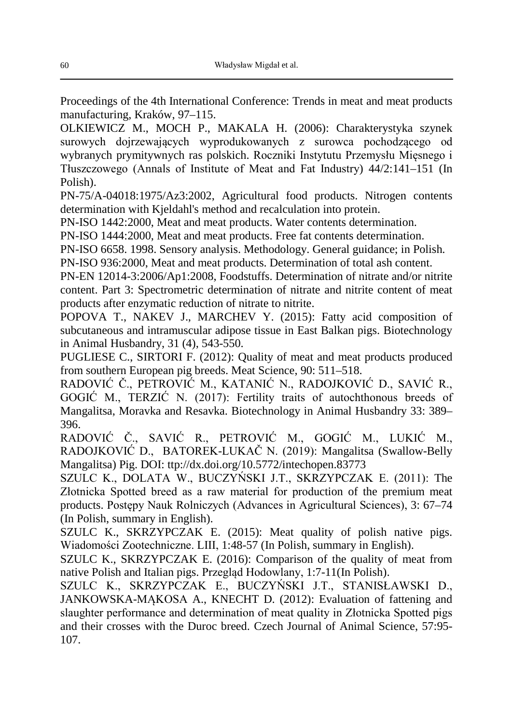Proceedings of the 4th International Conference: Trends in meat and meat products manufacturing, Kraków, 97–115.

OLKIEWICZ M., MOCH P., MAKALA H. (2006): Charakterystyka szynek surowych dojrzewających wyprodukowanych z surowca pochodzącego od wybranych prymitywnych ras polskich. Roczniki Instytutu Przemysłu Mięsnego i Tłuszczowego (Annals of Institute of Meat and Fat Industry) 44/2:141–151 (In Polish).

PN-75/A-04018:1975/Az3:2002, Agricultural food products. Nitrogen contents determination with Kjeldahl's method and recalculation into protein.

PN-ISO 1442:2000, Meat and meat products. Water contents determination.

PN-ISO 1444:2000, Meat and meat products. Free fat contents determination.

PN-ISO 6658. 1998. Sensory analysis. Methodology. General guidance; in Polish.

PN-ISO 936:2000, Meat and meat products. Determination of total ash content.

PN-EN 12014-3:2006/Ap1:2008, Foodstuffs. Determination of nitrate and/or nitrite content. Part 3: Spectrometric determination of nitrate and nitrite content of meat products after enzymatic reduction of nitrate to nitrite.

POPOVA T., NAKEV J., MARCHEV Y. (2015): Fatty acid composition of subcutaneous and intramuscular adipose tissue in East Balkan pigs. Biotechnology in Animal Husbandry, 31 (4), 543-550.

PUGLIESE C., SIRTORI F. (2012): Quality of meat and meat products produced from southern European pig breeds. Meat Science, 90: 511–518.

RADOVIĆ Č., PETROVIĆ M., KATANIĆ N., RADOJKOVIĆ D., SAVIĆ R., GOGIĆ M., TERZIĆ N. (2017): Fertility traits of autochthonous breeds of Mangalitsa, Moravka and Resavka. Biotechnology in Animal Husbandry 33: 389– 396.

RADOVIĆ Č., SAVIĆ R., PETROVIĆ M., GOGIĆ M., LUKIĆ M., RADOJKOVIĆ D., BATOREK-LUKAČ N. (2019): Mangalitsa (Swallow-Belly Mangalitsa) Pig. DOI: ttp://dx.doi.org/10.5772/intechopen.83773

SZULC K., DOLATA W., BUCZYŃSKI J.T., SKRZYPCZAK E. (2011): The Złotnicka Spotted breed as a raw material for production of the premium meat products. Postępy Nauk Rolniczych (Advances in Agricultural Sciences), 3: 67–74 (In Polish, summary in English).

SZULC K., SKRZYPCZAK E. (2015): Meat quality of polish native pigs. Wiadomości Zootechniczne. LIII, 1:48-57 (In Polish, summary in English).

SZULC K., SKRZYPCZAK E. (2016): Comparison of the quality of meat from native Polish and Italian pigs. Przegląd Hodowlany, 1:7-11(In Polish).

SZULC K., SKRZYPCZAK E., BUCZYŃSKI J.T., STANISŁAWSKI D., JANKOWSKA-MĄKOSA A., KNECHT D. (2012): Evaluation of fattening and slaughter performance and determination of meat quality in Złotnicka Spotted pigs and their crosses with the Duroc breed. Czech Journal of Animal Science, 57:95- 107.